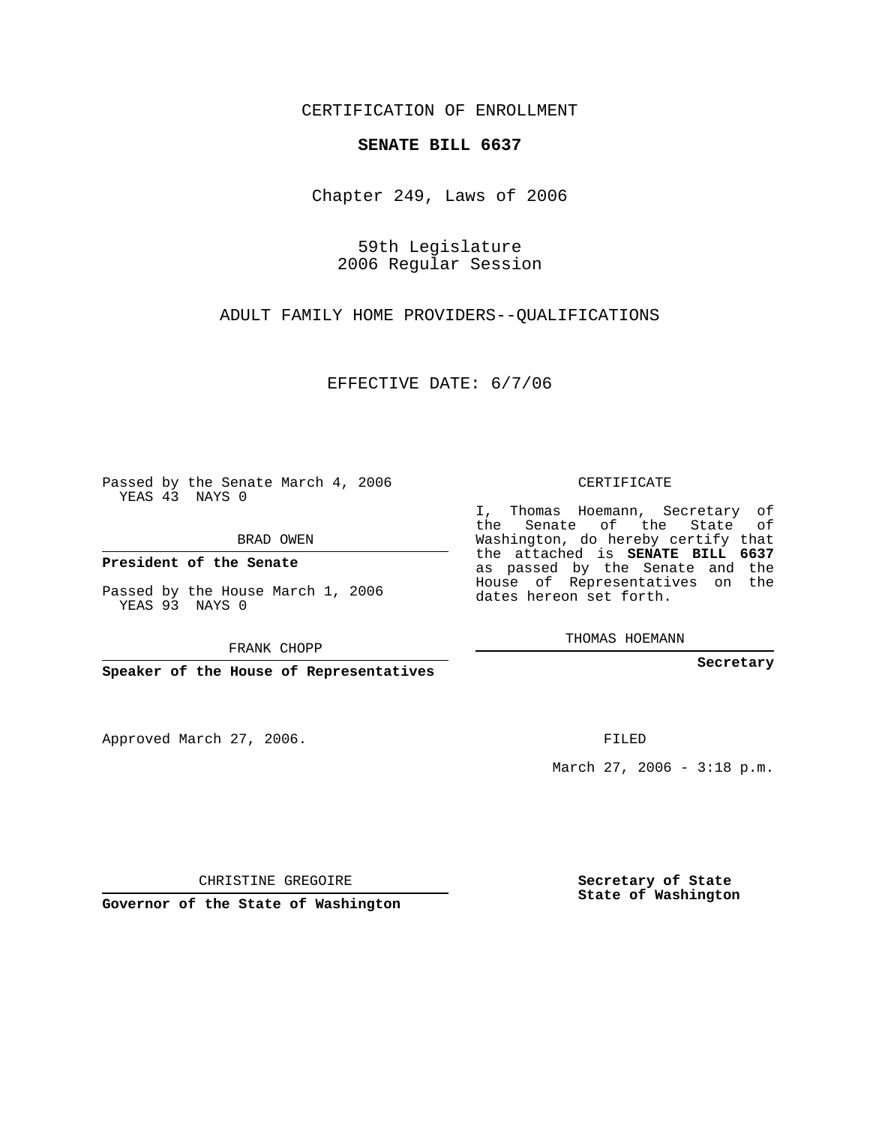CERTIFICATION OF ENROLLMENT

## **SENATE BILL 6637**

Chapter 249, Laws of 2006

59th Legislature 2006 Regular Session

ADULT FAMILY HOME PROVIDERS--QUALIFICATIONS

EFFECTIVE DATE: 6/7/06

Passed by the Senate March 4, 2006 YEAS 43 NAYS 0

BRAD OWEN

**President of the Senate**

Passed by the House March 1, 2006 YEAS 93 NAYS 0

FRANK CHOPP

**Speaker of the House of Representatives**

Approved March 27, 2006.

CERTIFICATE

I, Thomas Hoemann, Secretary of the Senate of the State of Washington, do hereby certify that the attached is **SENATE BILL 6637** as passed by the Senate and the House of Representatives on the dates hereon set forth.

THOMAS HOEMANN

**Secretary**

FILED

March 27, 2006 - 3:18 p.m.

CHRISTINE GREGOIRE

**Governor of the State of Washington**

**Secretary of State State of Washington**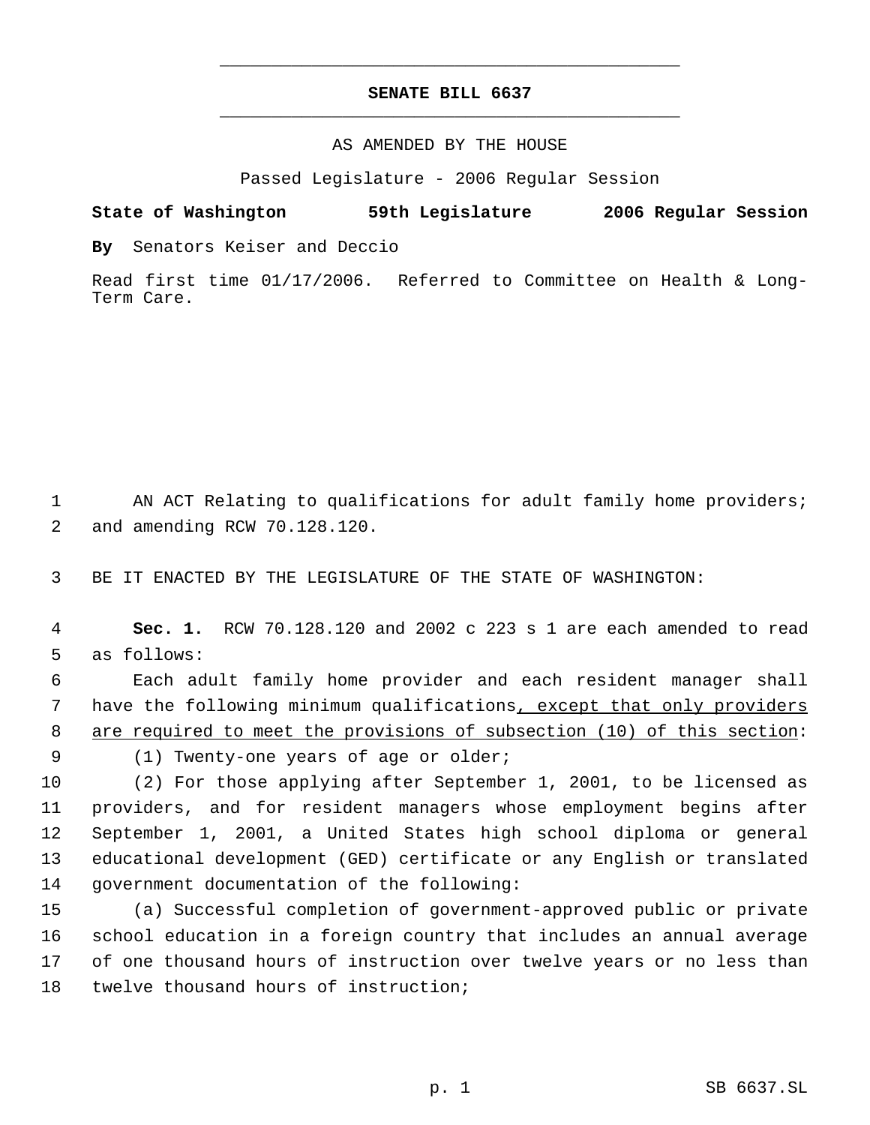## **SENATE BILL 6637** \_\_\_\_\_\_\_\_\_\_\_\_\_\_\_\_\_\_\_\_\_\_\_\_\_\_\_\_\_\_\_\_\_\_\_\_\_\_\_\_\_\_\_\_\_

\_\_\_\_\_\_\_\_\_\_\_\_\_\_\_\_\_\_\_\_\_\_\_\_\_\_\_\_\_\_\_\_\_\_\_\_\_\_\_\_\_\_\_\_\_

## AS AMENDED BY THE HOUSE

Passed Legislature - 2006 Regular Session

**State of Washington 59th Legislature 2006 Regular Session**

**By** Senators Keiser and Deccio

Read first time 01/17/2006. Referred to Committee on Health & Long-Term Care.

1 AN ACT Relating to qualifications for adult family home providers; 2 and amending RCW 70.128.120.

3 BE IT ENACTED BY THE LEGISLATURE OF THE STATE OF WASHINGTON:

 4 **Sec. 1.** RCW 70.128.120 and 2002 c 223 s 1 are each amended to read 5 as follows:

 6 Each adult family home provider and each resident manager shall 7 have the following minimum qualifications, except that only providers 8 are required to meet the provisions of subsection (10) of this section:

9 (1) Twenty-one years of age or older;

 (2) For those applying after September 1, 2001, to be licensed as providers, and for resident managers whose employment begins after September 1, 2001, a United States high school diploma or general educational development (GED) certificate or any English or translated government documentation of the following:

 (a) Successful completion of government-approved public or private school education in a foreign country that includes an annual average of one thousand hours of instruction over twelve years or no less than twelve thousand hours of instruction;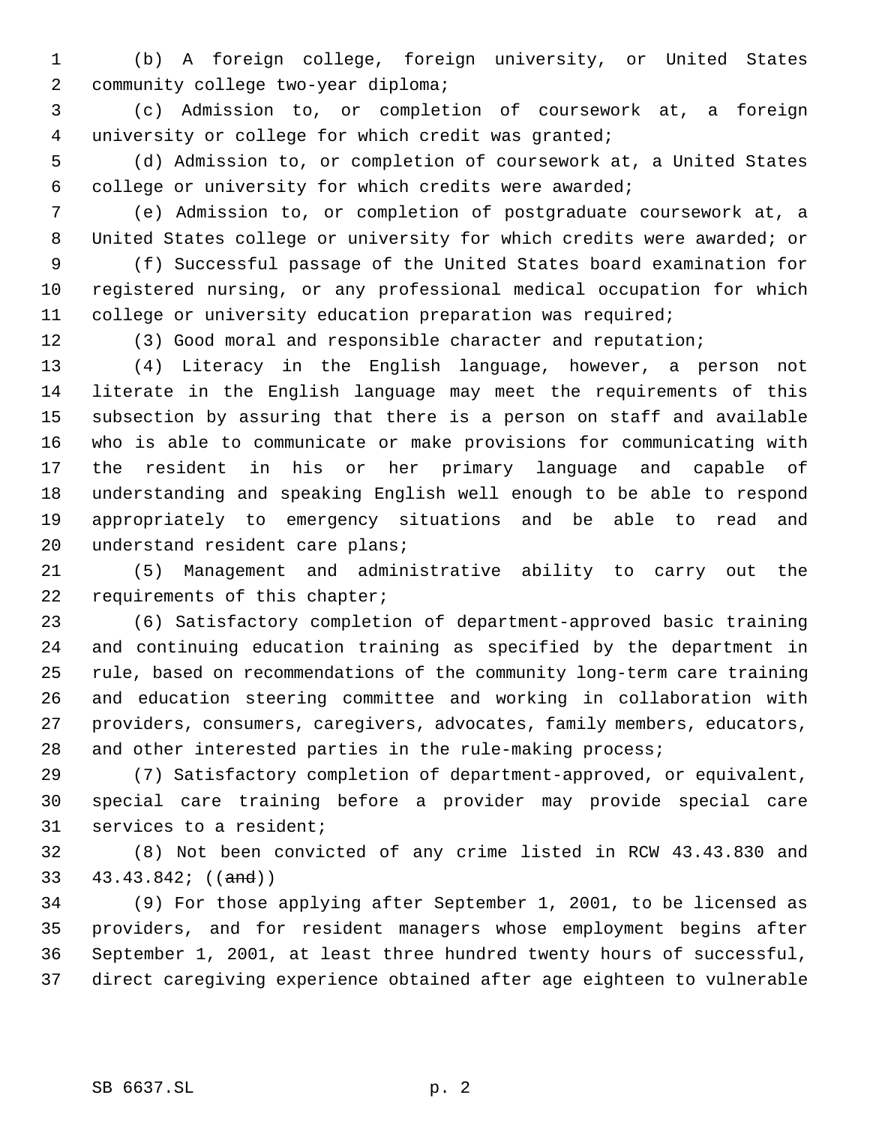(b) A foreign college, foreign university, or United States 2 community college two-year diploma;

 (c) Admission to, or completion of coursework at, a foreign university or college for which credit was granted;

 (d) Admission to, or completion of coursework at, a United States college or university for which credits were awarded;

 (e) Admission to, or completion of postgraduate coursework at, a United States college or university for which credits were awarded; or

 (f) Successful passage of the United States board examination for registered nursing, or any professional medical occupation for which 11 college or university education preparation was required;

(3) Good moral and responsible character and reputation;

 (4) Literacy in the English language, however, a person not literate in the English language may meet the requirements of this subsection by assuring that there is a person on staff and available who is able to communicate or make provisions for communicating with the resident in his or her primary language and capable of understanding and speaking English well enough to be able to respond appropriately to emergency situations and be able to read and understand resident care plans;

 (5) Management and administrative ability to carry out the requirements of this chapter;

 (6) Satisfactory completion of department-approved basic training and continuing education training as specified by the department in rule, based on recommendations of the community long-term care training and education steering committee and working in collaboration with providers, consumers, caregivers, advocates, family members, educators, and other interested parties in the rule-making process;

 (7) Satisfactory completion of department-approved, or equivalent, special care training before a provider may provide special care services to a resident;

 (8) Not been convicted of any crime listed in RCW 43.43.830 and 43.43.842; ((and))

 (9) For those applying after September 1, 2001, to be licensed as providers, and for resident managers whose employment begins after September 1, 2001, at least three hundred twenty hours of successful, direct caregiving experience obtained after age eighteen to vulnerable